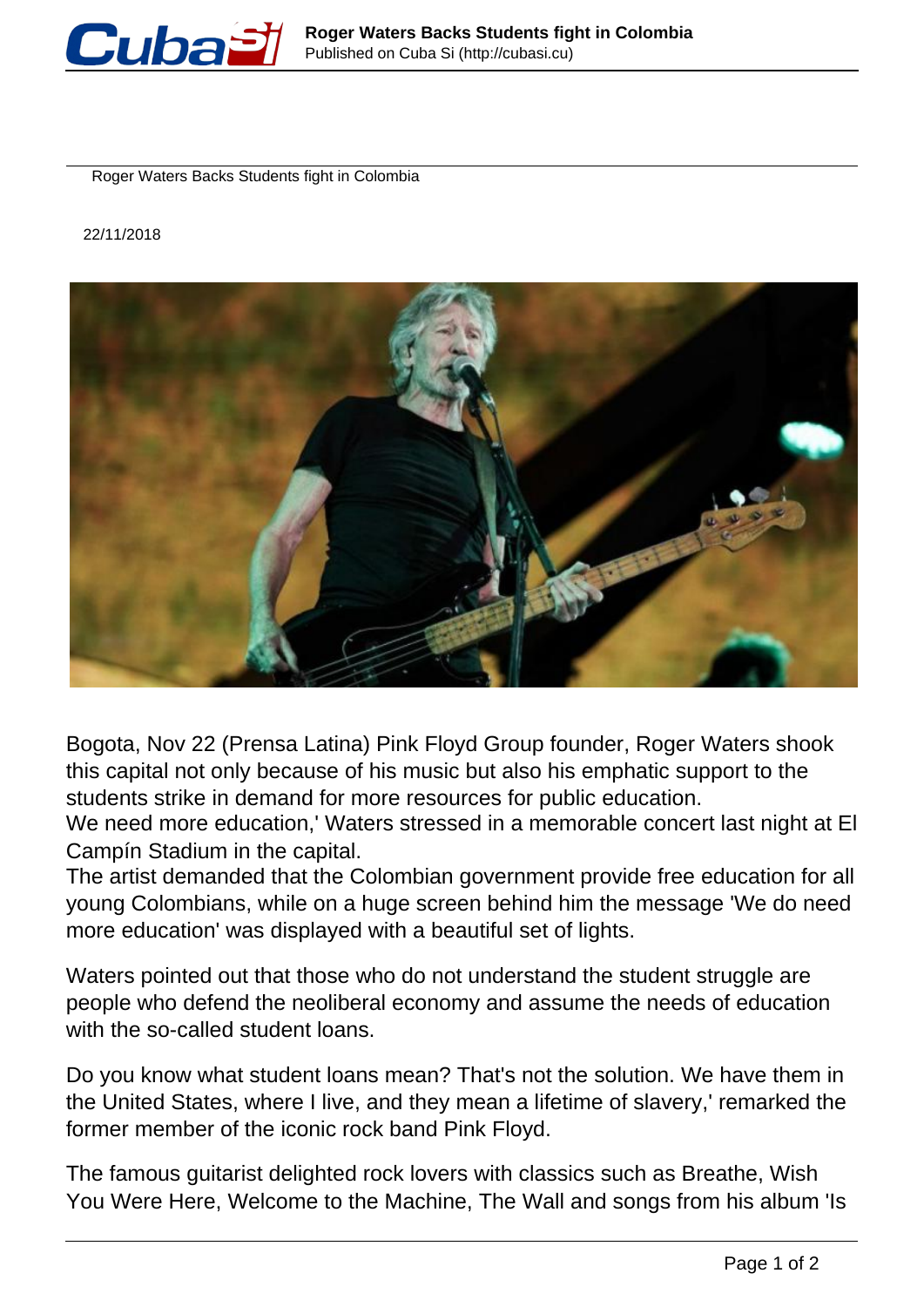

Roger Waters Backs Students fight in Colombia

22/11/2018



Bogota, Nov 22 (Prensa Latina) Pink Floyd Group founder, Roger Waters shook this capital not only because of his music but also his emphatic support to the students strike in demand for more resources for public education.

We need more education,' Waters stressed in a memorable concert last night at El Campín Stadium in the capital.

The artist demanded that the Colombian government provide free education for all young Colombians, while on a huge screen behind him the message 'We do need more education' was displayed with a beautiful set of lights.

Waters pointed out that those who do not understand the student struggle are people who defend the neoliberal economy and assume the needs of education with the so-called student loans.

Do you know what student loans mean? That's not the solution. We have them in the United States, where I live, and they mean a lifetime of slavery,' remarked the former member of the iconic rock band Pink Floyd.

The famous guitarist delighted rock lovers with classics such as Breathe, Wish You Were Here, Welcome to the Machine, The Wall and songs from his album 'Is